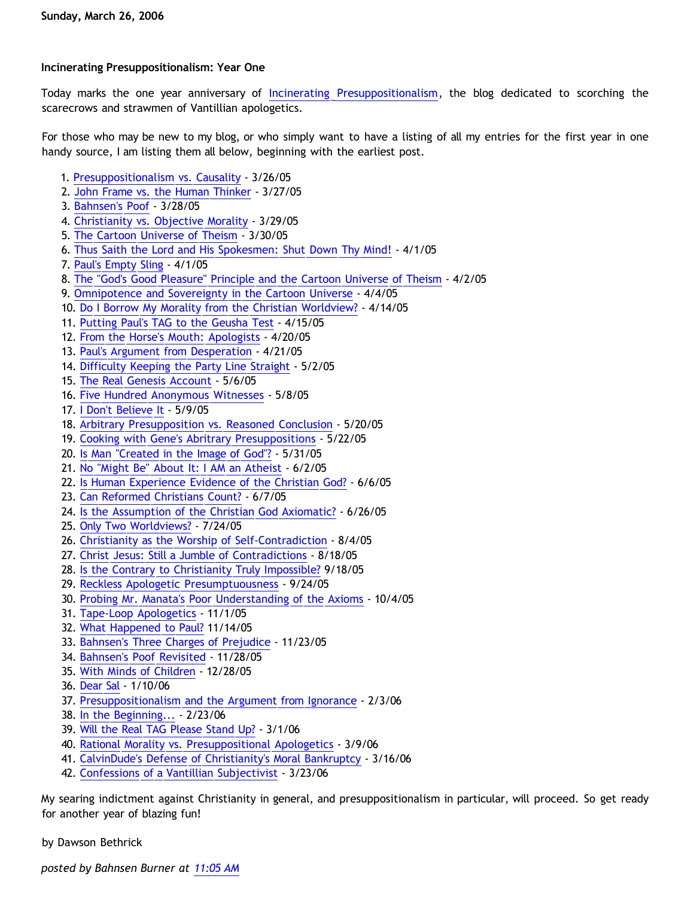## **Incinerating Presuppositionalism: Year One**

Today marks the one year anniversary of [Incinerating Presuppositionalism](http://bahnsenburner.blogspot.com/), the blog dedicated to scorching the scarecrows and strawmen of Vantillian apologetics.

For those who may be new to my blog, or who simply want to have a listing of all my entries for the first year in one handy source, I am listing them all below, beginning with the earliest post.

- 1. [Presuppositionalism vs. Causality](http://bahnsenburner.blogspot.com/2005/03/presuppositionalism-vs-causality.html) 3/26/05
- 2. [John Frame vs. the Human Thinker](http://bahnsenburner.blogspot.com/2005/03/john-frame-vs-human-thinker.html) 3/27/05
- 3. [Bahnsen's Poof](http://bahnsenburner.blogspot.com/2005/03/bahnsens-poof.html)  3/28/05
- 4. [Christianity vs. Objective Morality](http://bahnsenburner.blogspot.com/2005/03/christianity-vs-objective-morality.html)  3/29/05
- 5. [The Cartoon Universe of Theism](http://bahnsenburner.blogspot.com/2005/03/cartoon-universe-of-theism.html) 3/30/05
- 6. [Thus Saith the Lord and His Spokesmen: Shut Down Thy Mind!](http://bahnsenburner.blogspot.com/2005/04/thus-saith-lord-and-his-spokesmen-shut.html) 4/1/05
- 7. [Paul's Empty Sling](http://bahnsenburner.blogspot.com/2005/04/pauls-empty-sling.html)  4/1/05
- 8. [The "God's Good Pleasure" Principle and the Cartoon Universe of Theism](http://bahnsenburner.blogspot.com/2005/04/gods-good-pleasure-principle-and.html)  4/2/05
- 9. [Omnipotence and Sovereignty in the Cartoon Universe](http://bahnsenburner.blogspot.com/2005/04/omnipotence-and-sovereignty-in-cartoon.html) 4/4/05
- 10. [Do I Borrow My Morality from the Christian Worldview?](http://bahnsenburner.blogspot.com/2005/04/do-i-borrow-my-morality-from-christian.html)  4/14/05
- 11. [Putting Paul's TAG to the Geusha Test](http://bahnsenburner.blogspot.com/2005/04/putting-pauls-tag-to-geusha-test.html) 4/15/05
- 12. [From the Horse's Mouth: Apologists](http://bahnsenburner.blogspot.com/2005/04/from-horses-mouth-apologists-shooting.html) 4/20/05
- 13. [Paul's Argument from Desperation](http://bahnsenburner.blogspot.com/2005/04/pauls-argument-from-desperation.html) 4/21/05
- 14. [Difficulty Keeping the Party Line Straight](http://bahnsenburner.blogspot.com/2005/05/difficulty-keeping-party-line-straight.html)  5/2/05
- 15. [The Real Genesis Account](http://bahnsenburner.blogspot.com/2005/05/real-genesis-creation-account.html) 5/6/05
- 16. [Five Hundred Anonymous Witnesses](http://bahnsenburner.blogspot.com/2005/05/five-hundred-anonymous-witnesses.html)  5/8/05
- 17. [I Don't Believe It](http://bahnsenburner.blogspot.com/2005/05/i-dont-believe-it.html) 5/9/05
- 18. [Arbitrary Presupposition vs. Reasoned Conclusion](http://bahnsenburner.blogspot.com/2005/05/arbitrary-presupposition-vs-reasoned.html) 5/20/05
- 19. [Cooking with Gene's Abritrary Presuppositions](http://bahnsenburner.blogspot.com/2005/05/cooking-with-genes-arbitrary.html) 5/22/05
- 20. [Is Man "Created in the Image of God"?](http://bahnsenburner.blogspot.com/2005/05/is-man-created-in-image-of-god.html) 5/31/05
- 21. [No "Might Be" About It: I AM an Atheist](http://bahnsenburner.blogspot.com/2005/06/no-might-be-about-it-i-am-atheist.html)  6/2/05
- 22. [Is Human Experience Evidence of the Christian God?](http://bahnsenburner.blogspot.com/2005/06/is-human-experience-evidence-of.html)  6/6/05
- 23. [Can Reformed Christians Count?](http://bahnsenburner.blogspot.com/2005/06/can-reformed-christians-count.html)  6/7/05
- 24. [Is the Assumption of the Christian God Axiomatic?](http://bahnsenburner.blogspot.com/2005/06/is-assumption-of-christian-god.html) 6/26/05
- 25. [Only Two Worldviews?](http://bahnsenburner.blogspot.com/2005/07/only-two-worldviews.html)  7/24/05
- 26. [Christianity as the Worship of Self-Contradiction](http://bahnsenburner.blogspot.com/2005/08/christianity-as-worship-of-self.html) 8/4/05
- 27. [Christ Jesus: Still a Jumble of Contradictions](http://bahnsenburner.blogspot.com/2005/08/christ-jesus-still-jumble-of.html)  8/18/05
- 28. [Is the Contrary to Christianity Truly Impossible?](http://bahnsenburner.blogspot.com/2005/09/is-contrary-to-christianity-truly.html) 9/18/05
- 29. [Reckless Apologetic Presumptuousness](http://bahnsenburner.blogspot.com/2005/09/reckless-apologetic-presumptuousness.html)  9/24/05
- 30. [Probing Mr. Manata's Poor Understanding of the Axioms](http://bahnsenburner.blogspot.com/2005/10/probing-mr-manatas-poor-understanding.html)  10/4/05
- 31. [Tape-Loop Apologetics](http://bahnsenburner.blogspot.com/2005/11/tape-loop-apologetics.html)  11/1/05
- 32. [What Happened to Paul?](http://bahnsenburner.blogspot.com/2005/11/what-happened-to-paul.html) 11/14/05
- 33. [Bahnsen's Three Charges of Prejudice](http://bahnsenburner.blogspot.com/2005/11/bahnsens-three-charges-of-prejudice.html)  11/23/05
- 34. [Bahnsen's Poof Revisited](http://bahnsenburner.blogspot.com/2005/11/bahnsens-poof-revisited.html) 11/28/05
- 35. [With Minds of Children](http://bahnsenburner.blogspot.com/2005/12/with-minds-of-children.html) 12/28/05
- 36. [Dear Sal](http://bahnsenburner.blogspot.com/2006/01/dear-sal.html) 1/10/06
- 37. [Presuppositionalism and the Argument from Ignorance](http://bahnsenburner.blogspot.com/2006/02/presuppositionalism-and-argument-from.html)  2/3/06
- 38. [In the Beginning...](http://bahnsenburner.blogspot.com/2006/02/in-beginning.html) 2/23/06
- 39. [Will the Real TAG Please Stand Up?](http://bahnsenburner.blogspot.com/2006/03/will-real-tag-please-stand-up.html)  3/1/06
- 40. [Rational Morality vs. Presuppositional Apologetics](http://bahnsenburner.blogspot.com/2006/03/rational-morality-vs-presuppositional.html) 3/9/06
- 41. [CalvinDude's Defense of Christianity's Moral Bankruptcy](http://bahnsenburner.blogspot.com/2006/03/calvindudes-defense-of-christianitys.html) 3/16/06
- 42. [Confessions of a Vantillian Subjectivist](http://bahnsenburner.blogspot.com/2006/03/confessions-of-vantillian-subjectivist.html)  3/23/06

My searing indictment against Christianity in general, and presuppositionalism in particular, will proceed. So get ready for another year of blazing fun!

by Dawson Bethrick

*posted by Bahnsen Burner at [11:05 AM](http://bahnsenburner.blogspot.com/2006/03/incinerating-presuppositionalism-year.html)*